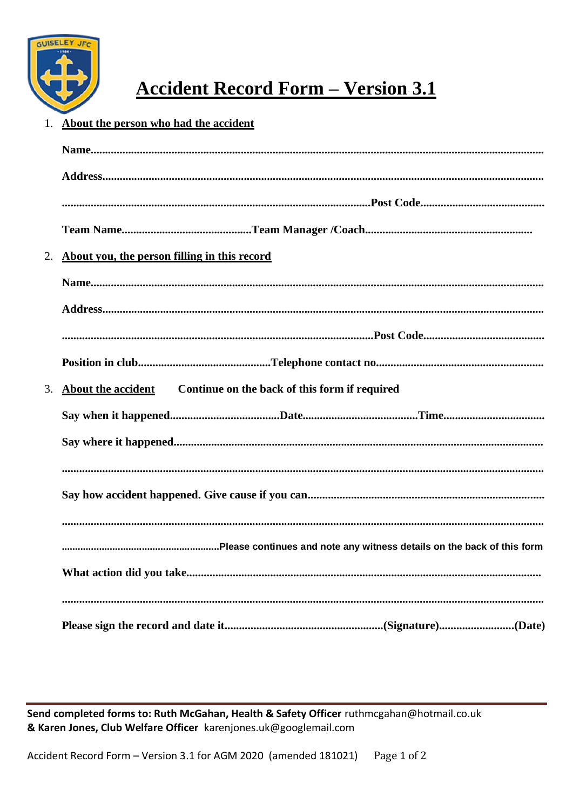

## **Accident Record Form - Version 3.1**

## 1. About the person who had the accident

| 2. | About you, the person filling in this record                           |
|----|------------------------------------------------------------------------|
|    |                                                                        |
|    |                                                                        |
|    |                                                                        |
|    |                                                                        |
|    | Continue on the back of this form if required<br>3. About the accident |
|    |                                                                        |
|    |                                                                        |
|    |                                                                        |
|    |                                                                        |
|    |                                                                        |
|    |                                                                        |
|    |                                                                        |
|    |                                                                        |
|    |                                                                        |

Send completed forms to: Ruth McGahan, Health & Safety Officer ruthmcgahan@hotmail.co.uk & Karen Jones, Club Welfare Officer karenjones.uk@googlemail.com